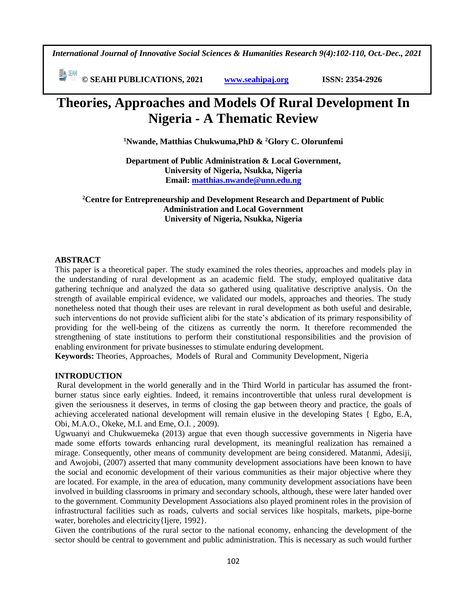*International Journal of Innovative Social Sciences & Humanities Research 9(4):102-110, Oct.-Dec., 2021*

 **© SEAHI PUBLICATIONS, 2021 [www.seahipaj.org](http://www.seahipaj.org/) ISSN: 2354-2926** 

# **Theories, Approaches and Models Of Rural Development In Nigeria - A Thematic Review**

**<sup>1</sup>Nwande, Matthias Chukwuma,PhD & <sup>2</sup>Glory C. Olorunfemi**

**Department of Public Administration & Local Government, University of Nigeria, Nsukka, Nigeria Email: [matthias.nwande@unn.edu.ng](mailto:matthias.nwande@unn.edu.ng)**

**<sup>2</sup>Centre for Entrepreneurship and Development Research and Department of Public Administration and Local Government University of Nigeria, Nsukka, Nigeria**

# **ABSTRACT**

This paper is a theoretical paper. The study examined the roles theories, approaches and models play in the understanding of rural development as an academic field. The study, employed qualitative data gathering technique and analyzed the data so gathered using qualitative descriptive analysis. On the strength of available empirical evidence, we validated our models, approaches and theories. The study nonetheless noted that though their uses are relevant in rural development as both useful and desirable, such interventions do not provide sufficient alibi for the state's abdication of its primary responsibility of providing for the well-being of the citizens as currently the norm. It therefore recommended the strengthening of state institutions to perform their constitutional responsibilities and the provision of enabling environment for private businesses to stimulate enduring development.

**Keywords:** Theories, Approaches, Models of Rural and Community Development, Nigeria

#### **INTRODUCTION**

Rural development in the world generally and in the Third World in particular has assumed the frontburner status since early eighties. Indeed, it remains incontrovertible that unless rural development is given the seriousness it deserves, in terms of closing the gap between theory and practice, the goals of achieving accelerated national development will remain elusive in the developing States { Egbo, E.A, Obi, M.A.O., Okeke, M.I. and Eme, O.I. , 2009).

Ugwuanyi and Chukwuemeka (2013) argue that even though successive governments in Nigeria have made some efforts towards enhancing rural development, its meaningful realization has remained a mirage. Consequently, other means of community development are being considered. Matanmi, Adesiji, and Awojobi, (2007) asserted that many community development associations have been known to have the social and economic development of their various communities as their major objective where they are located. For example, in the area of education, many community development associations have been involved in building classrooms in primary and secondary schools, although, these were later handed over to the government. Community Development Associations also played prominent roles in the provision of infrastructural facilities such as roads, culverts and social services like hospitals, markets, pipe-borne water, boreholes and electricity{Ijere, 1992}.

Given the contributions of the rural sector to the national economy, enhancing the development of the sector should be central to government and public administration. This is necessary as such would further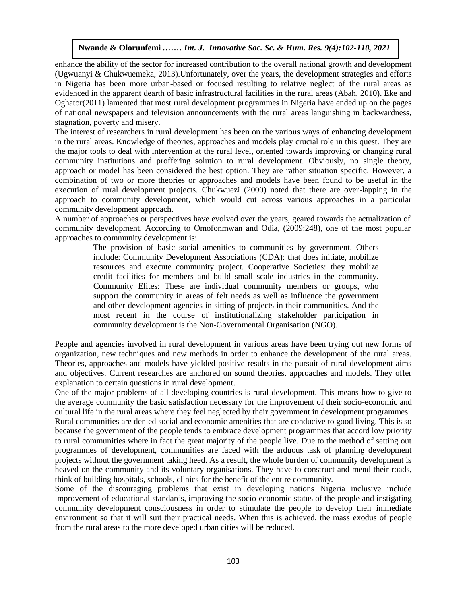enhance the ability of the sector for increased contribution to the overall national growth and development (Ugwuanyi & Chukwuemeka, 2013). Unfortunately, over the years, the development strategies and efforts in Nigeria has been more urban-based or focused resulting to relative neglect of the rural areas as evidenced in the apparent dearth of basic infrastructural facilities in the rural areas (Abah, 2010). Eke and Oghator(2011) lamented that most rural development programmes in Nigeria have ended up on the pages of national newspapers and television announcements with the rural areas languishing in backwardness, stagnation, poverty and misery.

The interest of researchers in rural development has been on the various ways of enhancing development in the rural areas. Knowledge of theories, approaches and models play crucial role in this quest. They are the major tools to deal with intervention at the rural level, oriented towards improving or changing rural In the major tools to dear with intervention at the rural level, oriented towards improving or changing rural<br>community institutions and proffering solution to rural development. Obviously, no single theory, approach or model has been considered the best option. They are rather situation specific. However, a combination of two or more theories or approaches and models have been found to be useful in the execution of rural development projects. Chukwuezi (2000) noted that there are over-lapping in the approach to community development, which would cut across various approaches in a particular community development approach.

A number of approaches or perspectives have evolved over the years, geared towards the actualization of community development. According to Omofonmwan and Odia, (2009:248), one of the most popular approaches to community development is:

The provision of basic social amenities to communities by government. Others include: Community Development Associations (CDA): that does initiate, mobilize resources and execute community project. Cooperative Societies: they mobilize resources and execute community project. Cooperative societies, they moonize credit facilities for members and build small scale industries in the community. Community Elites: These are individual community members or groups, who support the community in areas of felt needs as well as influence the government and other development agencies in sitting of projects in their communities. And the and other development agencies in staing or projects in their communities. And the most recent in the course of institutionalizing stakeholder participation in community development is the Non-Governmental Organisation (NGO).

People and agencies involved in rural development in various areas have been trying out new forms of organization, new techniques and new methods in order to enhance the development of the rural areas. Theories, approaches and models have yielded positive results in the pursuit of rural development aims and objectives. Current researches are anchored on sound theories, approaches and models. They offer explanation to certain questions in rural development.

One of the major problems of all developing countries is rural development. This means how to give to the average community the basic satisfaction necessary for the improvement of their socio-economic and cultural life in the rural areas where they feel neglected by their government in development programmes. Rural communities are denied social and economic amenities that are conducive to good living. This is so because the government of the people tends to embrace development programmes that accord low priority to rural communities where in fact the great majority of the people live. Due to the method of setting out programmes of development, communities are faced with the arduous task of planning development projects without the government taking heed. As a result, the whole burden of community development is heaved on the community and its voluntary organisations. They have to construct and mend their roads, think of building hospitals, schools, clinics for the benefit of the entire community.

Some of the discouraging problems that exist in developing nations Nigeria inclusive include improvement of educational standards, improving the socio-economic status of the people and instigating community development consciousness in order to stimulate the people to develop their immediate environment so that it will suit their practical needs. When this is achieved, the mass exodus of people from the rural areas to the more developed urban cities will be reduced.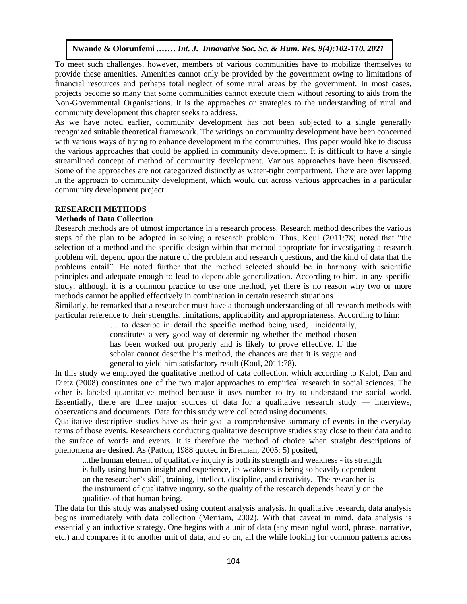To meet such challenges, however, members of various communities have to mobilize themselves to provide these amenities. Amenities cannot only be provided by the government owing to limitations of provide these amentues. Amentues cannot only be provided by the government owing to infinitations of financial resources and perhaps total neglect of some rural areas by the government. In most cases, projects become so many that some communities cannot execute them without resorting to aids from the Non-Governmental Organisations. It is the approaches or strategies to the understanding of rural and community development this chapter seeks to address.

community development this chapter seeks to address.<br>As we have noted earlier, community development has not been subjected to a single generally recognized suitable theoretical framework. The writings on community development have been concerned with various ways of trying to enhance development in the communities. This paper would like to discuss the various approaches that could be applied in community development. It is difficult to have a single Ince various approaches that could be applied in community development. It is difficult to have a single streamlined concept of method of community development. Various approaches have been discussed. Some of the approaches are not categorized distinctly as water-tight compartment. There are over lapping in the approach to community development, which would cut across various approaches in a particular community development project.

#### **RESEARCH METHODS**

#### **Methods of Data Collection**

Research methods are of utmost importance in a research process. Research method describes the various steps of the plan to be adopted in solving a research process. Research include describes the various steps of the plan to be adopted in solving a research problem. Thus, Koul (2011:78) noted that "the selection of a method and the specific design within that method appropriate for investigating a research problem will depend upon the nature of the problem and research questions, and the kind of data that the problems entail". He noted further that the method selected should be in harmony with scientific problems entair. The hotel runner that the method selected should be in harmony with scientific<br>principles and adequate enough to lead to dependable generalization. According to him, in any specific study, although it is a common practice to use one method, yet there is no reason why two or more methods cannot be applied effectively in combination in certain research situations.

Similarly, he remarked that a researcher must have a thorough understanding of all research methods with particular reference to their strengths, limitations, applicability and appropriateness. According to him:

> … to describe in detail the specific method being used, incidentally, constitutes a very good way of determining whether the method chosen has been worked out properly and is likely to prove effective. If the scholar cannot describe his method, the chances are that it is vague and general to yield him satisfactory result (Koul, 2011:78).

In this study we employed the qualitative method of data collection, which according to Kalof, Dan and Dietz (2008) constitutes one of the two major approaches to empirical research in social sciences. The other is labeled quantitative method because it uses number to try to understand the social world. Essentially, there are three major sources of data for a qualitative research study  $-$  interviews, observations and documents. Data for this study were collected using documents.

Qualitative descriptive studies have as their goal a comprehensive summary of events in the everyday terms of those events. Researchers conducting qualitative descriptive studies stay close to their data and to the surface of words and events. It is therefore the method of choice when straight descriptions of phenomena are desired. As (Patton, 1988 quoted in Brennan, 2005: 5) posited,

...the human element of qualitative inquiry is both its strength and weakness - its strength is fully using human insight and experience, its weakness is being so heavily dependent on the researcher's skill, training, intellect, discipline, and creativity. The researcher is the instrument of qualitative inquiry, so the quality of the research depends heavily on the qualities of that human being.

The data for this study was analysed using content analysis analysis. In qualitative research, data analysis begins immediately with data collection (Merriam, 2002). With that caveat in mind, data analysis is essentially an inductive strategy. One begins with a unit of data (any meaningful word, phrase, narrative, etc.) and compares it to another unit of data, and so on, all the while looking for common patterns across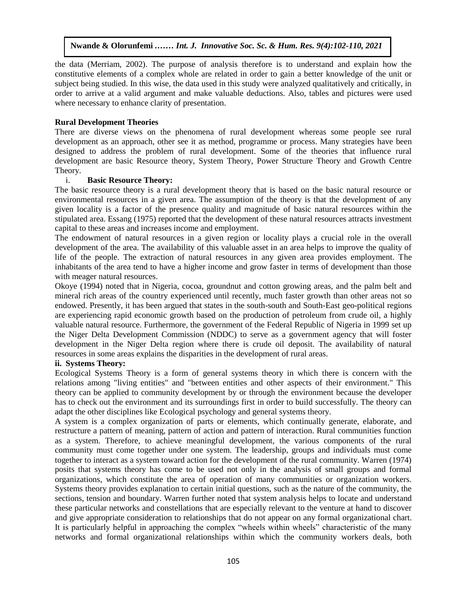the data (Merriam, 2002). The purpose of analysis therefore is to understand and explain how the constitutive elements of a complex whole are related in order to gain a better knowledge of the unit or subject being studied. In this wise, the data used in this study were analyzed qualitatively and critically, in order to arrive at a valid argument and make valuable deductions. Also, tables and pictures were used where necessary to enhance clarity of presentation.

#### **Rural Development Theories**

There are diverse views on the phenomena of rural development whereas some people see rural development as an approach, other see it as method, programme or process. Many strategies have been designed to address the problem of rural development. Some of the theories that influence rural development are basic Resource theory, System Theory, Power Structure Theory and Growth Centre Theory.

#### i. **Basic Resource Theory:**

The basic resource theory is a rural development theory that is based on the basic natural resource or environmental resources in a given area. The assumption of the theory is that the development of any given locality is a factor of the presence quality and magnitude of basic natural resources within the stipulated area. Essang (1975) reported that the development of these natural resources attracts investment capital to these areas and increases income and employment.

The endowment of natural resources in a given region or locality plays a crucial role in the overall development of the area. The availability of this valuable asset in an area helps to improve the quality of life of the people. The extraction of natural resources in any given area provides employment. The inhabitants of the area tend to have a higher income and grow faster in terms of development than those with meager natural resources.

Okoye (1994) noted that in Nigeria, cocoa, groundnut and cotton growing areas, and the palm belt and mineral rich areas of the country experienced until recently, much faster growth than other areas not so endowed. Presently, it has been argued that states in the south-south and South-East geo-political regions are experiencing rapid economic growth based on the production of petroleum from crude oil, a highly valuable natural resource. Furthermore, the government of the Federal Republic of Nigeria in 1999 set up the Niger Delta Development Commission (NDDC) to serve as a government agency that will foster development in the Niger Delta region where there is crude oil deposit. The availability of natural resources in some areas explains the disparities in the development of rural areas.

#### **ii. Systems Theory:**

Ecological Systems Theory is a form of general systems theory in which there is concern with the relations among "living entities" and "between entities and other aspects of their environment." This theory can be applied to community development by or through the environment because the developer has to check out the environment and its surroundings first in order to build successfully. The theory can adapt the other disciplines like Ecological psychology and general systems theory.

A system is a complex organization of parts or elements, which continually generate, elaborate, and restructure a pattern of meaning, pattern of action and pattern of interaction. Rural communities function as a system. Therefore, to achieve meaningful development, the various components of the rural community must come together under one system. The leadership, groups and individuals must come together to interact as a system toward action for the development of the rural community. Warren (1974) posits that systems theory has come to be used not only in the analysis of small groups and formal organizations, which constitute the area of operation of many communities or organization workers. Systems theory provides explanation to certain initial questions, such as the nature of the community, the sections, tension and boundary. Warren further noted that system analysis helps to locate and understand these particular networks and constellations that are especially relevant to the venture at hand to discover and give appropriate consideration to relationships that do not appear on any formal organizational chart. It is particularly helpful in approaching the complex "wheels within wheels" characteristic of the many networks and formal organizational relationships within which the community workers deals, both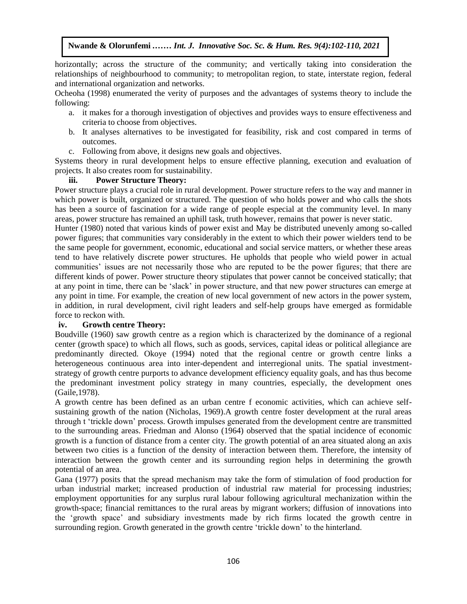horizontally; across the structure of the community; and vertically taking into consideration the relationships of neighbourhood to community; to metropolitan region, to state, interstate region, federal and international organization and networks.

Ocheoha (1998) enumerated the verity of purposes and the advantages of systems theory to include the following:

- a. it makes for a thorough investigation of objectives and provides ways to ensure effectiveness and criteria to choose from objectives.
- b. It analyses alternatives to be investigated for feasibility, risk and cost compared in terms of outcomes.
- c. Following from above, it designs new goals and objectives.

Systems theory in rural development helps to ensure effective planning, execution and evaluation of projects. It also creates room for sustainability.

#### **iii. Power Structure Theory:**

Power structure plays a crucial role in rural development. Power structure refers to the way and manner in which power is built, organized or structured. The question of who holds power and who calls the shots has been a source of fascination for a wide range of people especial at the community level. In many areas, power structure has remained an uphill task, truth however, remains that power is never static.

Hunter (1980) noted that various kinds of power exist and May be distributed unevenly among so-called power figures; that communities vary considerably in the extent to which their power wielders tend to be the same people for government, economic, educational and social service matters, or whether these areas tend to have relatively discrete power structures. He upholds that people who wield power in actual communities' issues are not necessarily those who are reputed to be the power figures; that there are different kinds of power. Power structure theory stipulates that power cannot be conceived statically; that at any point in time, there can be 'slack' in power structure, and that new power structures can emerge at any point in time. For example, the creation of new local government of new actors in the power system, in addition, in rural development, civil right leaders and self-help groups have emerged as formidable force to reckon with.

#### **iv. Growth centre Theory:**

Boudville (1960) saw growth centre as a region which is characterized by the dominance of a regional center (growth space) to which all flows, such as goods, services, capital ideas or political allegiance are predominantly directed. Okoye (1994) noted that the regional centre or growth centre links a heterogeneous continuous area into inter-dependent and interregional units. The spatial investmentstrategy of growth centre purports to advance development efficiency equality goals, and has thus become the predominant investment policy strategy in many countries, especially, the development ones (Gaile,1978).

A growth centre has been defined as an urban centre f economic activities, which can achieve selfsustaining growth of the nation (Nicholas, 1969).A growth centre foster development at the rural areas through t 'trickle down' process. Growth impulses generated from the development centre are transmitted to the surrounding areas. Friedman and Alonso (1964) observed that the spatial incidence of economic growth is a function of distance from a center city. The growth potential of an area situated along an axis between two cities is a function of the density of interaction between them. Therefore, the intensity of interaction between the growth center and its surrounding region helps in determining the growth potential of an area.

Gana (1977) posits that the spread mechanism may take the form of stimulation of food production for urban industrial market; increased production of industrial raw material for processing industries; employment opportunities for any surplus rural labour following agricultural mechanization within the growth-space; financial remittances to the rural areas by migrant workers; diffusion of innovations into the 'growth space' and subsidiary investments made by rich firms located the growth centre in surrounding region. Growth generated in the growth centre 'trickle down' to the hinterland.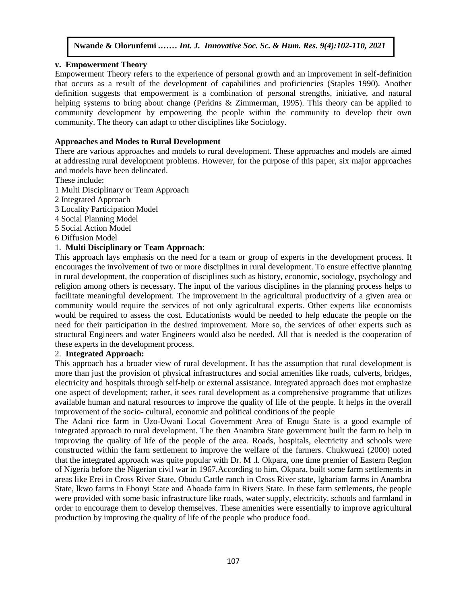#### **v. [Empowerment Theory](http://communitydevtheories.blogspot.com.ng/2010/11/empowerment-theory.html)**

Empowerment Theory refers to the experience of personal growth and an improvement in self-definition that occurs as a result of the development of capabilities and proficiencies (Staples 1990). Another definition suggests that empowerment is a combination of personal strengths, initiative, and natural helping systems to bring about change (Perkins & Zimmerman, 1995). This theory can be applied to community development by empowering the people within the community to develop their own community. The theory can adapt to other disciplines like Sociology.

#### **Approaches and Modes to Rural Development**

There are various approaches and models to rural development. These approaches and models are aimed at addressing rural development problems. However, for the purpose of this paper, six major approaches and models have been delineated.

These include:

- 1 Multi Disciplinary or Team Approach
- 2 Integrated Approach
- 3 Locality Participation Model
- 4 Social Planning Model
- 5 Social Action Model
- 6 Diffusion Model

# 1. **Multi Disciplinary or Team Approach**:

This approach lays emphasis on the need for a team or group of experts in the development process. It encourages the involvement of two or more disciplines in rural development. To ensure effective planning in rural development, the cooperation of disciplines such as history, economic, sociology, psychology and religion among others is necessary. The input of the various disciplines in the planning process helps to facilitate meaningful development. The improvement in the agricultural productivity of a given area or community would require the services of not only agricultural experts. Other experts like economists would be required to assess the cost. Educationists would be needed to help educate the people on the need for their participation in the desired improvement. More so, the services of other experts such as structural Engineers and water Engineers would also be needed. All that is needed is the cooperation of these experts in the development process.

#### 2. **Integrated Approach:**

This approach has a broader view of rural development. It has the assumption that rural development is more than just the provision of physical infrastructures and social amenities like roads, culverts, bridges, electricity and hospitals through self-help or external assistance. Integrated approach does mot emphasize one aspect of development; rather, it sees rural development as a comprehensive programme that utilizes available human and natural resources to improve the quality of life of the people. It helps in the overall improvement of the socio- cultural, economic and political conditions of the people

The Adani rice farm in Uzo-Uwani Local Government Area of Enugu State is a good example of integrated approach to rural development. The then Anambra State government built the farm to help in improving the quality of life of the people of the area. Roads, hospitals, electricity and schools were constructed within the farm settlement to improve the welfare of the farmers. Chukwuezi (2000) noted that the integrated approach was quite popular with Dr. M .l. Okpara, one time premier of Eastern Region of Nigeria before the Nigerian civil war in 1967.According to him, Okpara, built some farm settlements in areas like Erei in Cross River State, Obudu Cattle ranch in Cross River state, lgbariam farms in Anambra State, lkwo farms in Ebonyi State and Ahoada farm in Rivers State. In these farm settlements, the people were provided with some basic infrastructure like roads, water supply, electricity, schools and farmland in order to encourage them to develop themselves. These amenities were essentially to improve agricultural production by improving the quality of life of the people who produce food.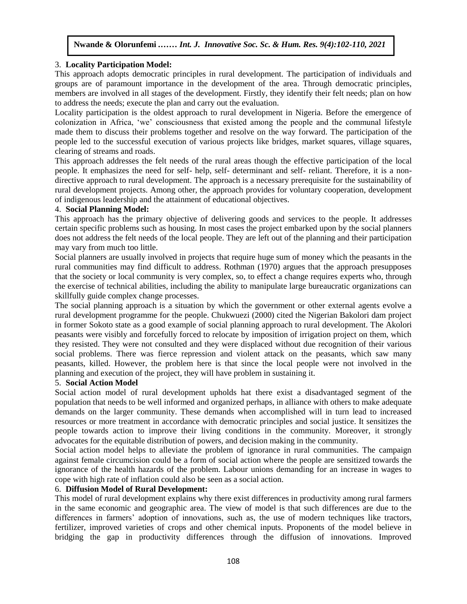# 3. **Locality Participation Model:**

This approach adopts democratic principles in rural development. The participation of individuals and groups are of paramount importance in the development of the area. Through democratic principles, members are involved in all stages of the development. Firstly, they identify their felt needs; plan on how to address the needs; execute the plan and carry out the evaluation.

Locality participation is the oldest approach to rural development in Nigeria. Before the emergence of colonization in Africa, 'we' consciousness that existed among the people and the communal lifestyle made them to discuss their problems together and resolve on the way forward. The participation of the people led to the successful execution of various projects like bridges, market squares, village squares, clearing of streams and roads.

This approach addresses the felt needs of the rural areas though the effective participation of the local people. It emphasizes the need for self- help, self- determinant and self- reliant. Therefore, it is a nondirective approach to rural development. The approach is a necessary prerequisite for the sustainability of rural development projects. Among other, the approach provides for voluntary cooperation, development of indigenous leadership and the attainment of educational objectives.

#### 4. **Social Planning Model:**

This approach has the primary objective of delivering goods and services to the people. It addresses certain specific problems such as housing. In most cases the project embarked upon by the social planners does not address the felt needs of the local people. They are left out of the planning and their participation may vary from much too little.

Social planners are usually involved in projects that require huge sum of money which the peasants in the rural communities may find difficult to address. Rothman (1970) argues that the approach presupposes that the society or local community is very complex, so, to effect a change requires experts who, through the exercise of technical abilities, including the ability to manipulate large bureaucratic organizations can skillfully guide complex change processes.

The social planning approach is a situation by which the government or other external agents evolve a rural development programme for the people. Chukwuezi (2000) cited the Nigerian Bakolori dam project in former Sokoto state as a good example of social planning approach to rural development. The Akolori peasants were visibly and forcefully forced to relocate by imposition of irrigation project on them, which they resisted. They were not consulted and they were displaced without due recognition of their various social problems. There was fierce repression and violent attack on the peasants, which saw many peasants, killed. However, the problem here is that since the local people were not involved in the planning and execution of the project, they will have problem in sustaining it.

#### 5. **Social Action Model**

Social action model of rural development upholds hat there exist a disadvantaged segment of the population that needs to be well informed and organized perhaps, in alliance with others to make adequate demands on the larger community. These demands when accomplished will in turn lead to increased resources or more treatment in accordance with democratic principles and social justice. It sensitizes the people towards action to improve their living conditions in the community. Moreover, it strongly advocates for the equitable distribution of powers, and decision making in the community.

Social action model helps to alleviate the problem of ignorance in rural communities. The campaign against female circumcision could be a form of social action where the people are sensitized towards the ignorance of the health hazards of the problem. Labour unions demanding for an increase in wages to cope with high rate of inflation could also be seen as a social action.

#### 6. **Diffusion Model of Rural Development:**

This model of rural development explains why there exist differences in productivity among rural farmers in the same economic and geographic area. The view of model is that such differences are due to the differences in farmers' adoption of innovations, such as, the use of modern techniques like tractors, fertilizer, improved varieties of crops and other chemical inputs. Proponents of the model believe in bridging the gap in productivity differences through the diffusion of innovations. Improved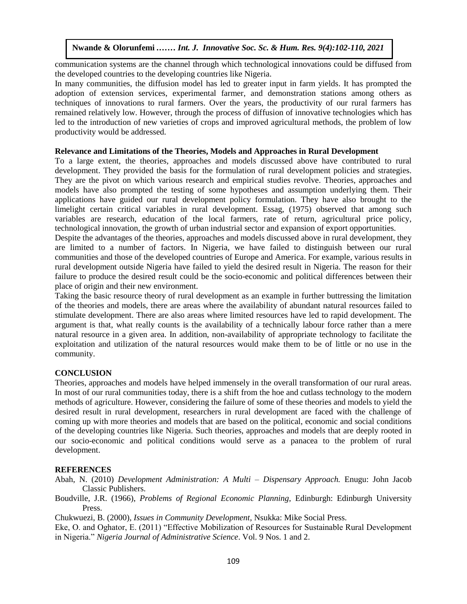communication systems are the channel through which technological innovations could be diffused from the developed countries to the developing countries like Nigeria.

In many communities, the diffusion model has led to greater input in farm yields. It has prompted the adoption of extension services, experimental farmer, and demonstration stations among others as techniques of innovations to rural farmers. Over the years, the productivity of our rural farmers has remained relatively low. However, through the process of diffusion of innovative technologies which has led to the introduction of new varieties of crops and improved agricultural methods, the problem of low productivity would be addressed.

# Relevance and Limitations of the Theories, Models and Approaches in Rural Development

To a large extent, the theories, approaches and models discussed above have contributed to rural development. They provided the basis for the formulation of rural development policies and strategies. They are the pivot on which various research and empirical studies revolve. Theories, approaches and models have also prompted the testing of some hypotheses and assumption underlying them. Their applications have guided our rural development policy formulation. They have also brought to the limelight certain critical variables in rural development. Essag, (1975) observed that among such variables are research, education of the local farmers, rate of return, agricultural price policy, technological innovation, the growth of urban industrial sector and expansion of export opportunities.

recullibiogreal impovation, the growth of thoan mutustrial sector and expansion of export opportunities.<br>Despite the advantages of the theories, approaches and models discussed above in rural development, they are limited to a number of factors. In Nigeria, we have failed to distinguish between our rural communities and those of the developed countries of Europe and America. For example, various results in rural development outside Nigeria have failed to yield the desired result in Nigeria. The reason for their Failure to produce the desired result could be the socio-economic and political differences between their failure to produce the desired result could be the socio-economic and political differences between their place of origin and their new environment.

Taking the basic resource theory of rural development as an example in further buttressing the limitation of the theories and models, there are areas where the availability of abundant natural resources failed to or the theories and moders, there are also areas where the avanability of abundant natural resources rance to<br>stimulate development. There are also areas where limited resources have led to rapid development. The argument is that, what really counts is the availability of a technically labour force rather than a mere natural resource in a given area. In addition, non-availability of appropriate technology to facilitate the exploitation and utilization of the natural resources would make them to be of little or no use in the community.

#### **CONCLUSION**

Theories, approaches and models have helped immensely in the overall transformation of our rural areas. In most of our rural communities today, there is a shift from the hoe and cutlass technology to the modern methods of agriculture. However, considering the failure of some of these theories and models to yield the desired result in rural development, researchers in rural development are faced with the challenge of coming up with more theories and models that are based on the political, economic and social conditions of the developing countries like Nigeria. Such theories, approaches and models that are deeply rooted in our socio-economic and political conditions would serve as a panacea to the problem of rural development.

#### **REFERENCES**

Abah, N. (2010) *Development Administration: A Multi – Dispensary Approach.* Enugu: John Jacob Classic Publishers.

Boudville, J.R. (1966), *Problems of Regional Economic Planning,* Edinburgh: Edinburgh University Press.

Chukwuezi, B. (2000), *Issues in Community Development,* Nsukka: Mike Social Press.

Eke, O. and Oghator, E. (2011) "Effective Mobilization of Resources for Sustainable Rural Development in Nigeria." *Nigeria Journal of Administrative Science*. Vol. 9 Nos. 1 and 2.